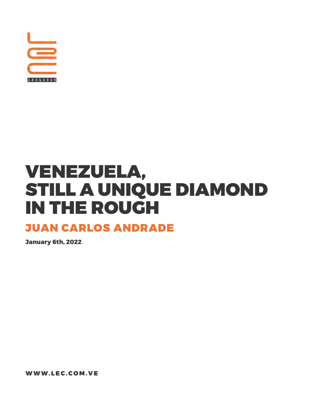

# VENEZUELA, STILL A UNIQUE DIAMOND IN THE ROUGH

## JUAN CARLOS ANDRADE

**January 6th, 2022**

WWW.LEC.COM.VE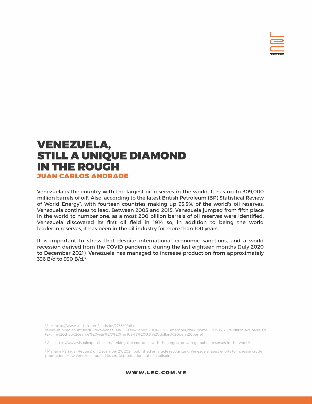

Venezuela is the country with the largest oil reserves in the world. It has up to 309,000 million barrels of oil'. Also, according to the latest British Petroleum (BP) Statistical Review of World Energy<sup>2</sup>, with fourteen countries making up 93.5% of the world's oil reserves, Venezuela continues to lead. Between 2005 and 2015, Venezuela jumped from fifth place in the world to number one, as almost 200 billion barrels of oil reserves were identified. Venezuela discovered its first oil field in 1914 so, in addition to being the world leader in reserves, it has been in the oil industry for more than 100 years.

It is important to stress that despite international economic sanctions, and a world recession derived from the COVID pandemic, during the last eighteen months (July 2020 to December 2021), Venezuela has managed to increase production from approximately 336 B/d to 930 B/d.3

1 See: https://www.statista.com/statistics/273339/oil-re-

serves-in-opec-countries/#:~:text=Venezuela%20is%20the%20OPEC%20member,of%20some%20303.6%20billion%20barrels.& text=In%20that%20same%20year%2C%20the,109.45%20U.S.%20dollars%20per%20barrel.

2 See: https://www.visualcapitalist.com/ranking-the-countries-with-the-largest-proven-global-oil-reserves-in-the-world/.

3 Mariana Parraga (Reuters) on December 27, 2021, published an article recognizing Venezuela latest efforts to increase crude production "How Venezuela pulled its crude production out of a tailspin".

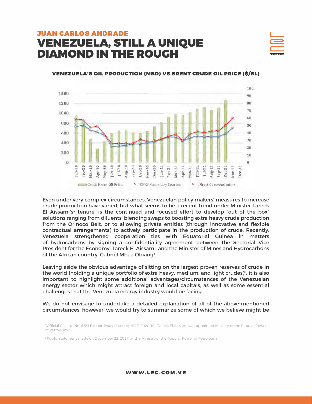

#### VENEZUELA'S OIL PRODUCTION (MBD) VS BRENT CRUDE OIL PRICE (\$/BL)



Even under very complex circumstances, Venezuelan policy makers' measures to increase crude production have varied, but what seems to be a recent trend under Minister Tareck El Aissami's $4$  tenure, is the continued and focused effort to develop "out of the box" solutions ranging from diluents' blending swaps to boosting extra heavy crude production from the Orinoco Belt, or to allowing private entities (through innovative and flexible contractual arrangements) to actively participate in the production of crude. Recently, Venezuela strengthened cooperation ties with Equatorial Guinea in matters of hydrocarbons by signing a confidentiality agreement between the Sectorial Vice President for the Economy, Tareck El Aissami, and the Minister of Mines and Hydrocarbons of the African country, Gabriel Mbaa Obiang<sup>5</sup>.

Leaving aside the obvious advantage of sitting on the largest proven reserves of crude in the world (holding a unique portfolio of extra heavy, medium, and light crudes) $\delta$ , it is also important to highlight some additional advantages/circumstances of the Venezuelan energy sector which might attract foreign and local capitals, as well as some essential challenges that the Venezuela energy industry would be facing.

We do not envisage to undertake a detailed explanation of all of the above-mentioned circumstances; however, we would try to summarize some of which we believe might be

WWW.LEC.COM.VE

<sup>4</sup> Official Gazette No. 6,531 Extraordinary dated April 27, 2020. Mr. Tareck El Aissami was appointed Minister of the Popular Power of Petroleum.

<sup>5</sup> Public statement made on December 22, 2021, by the Ministry of the Popular Power of Petroleum.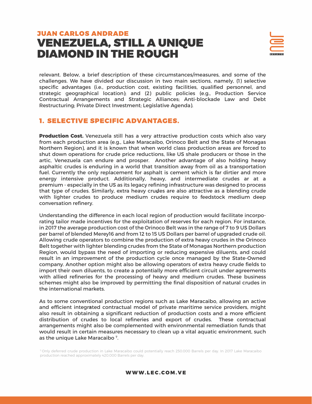

relevant. Below, a brief description of these circumstances/measures, and some of the challenges. We have divided our discussion in two main sections, namely, (1) selective specific advantages (i.e., production cost, existing facilities, qualified personnel, and strategic geographical location); and (2) public policies (e.g., Production Service Contractual Arrangements and Strategic Alliances; Anti-blockade Law and Debt Restructuring; Private Direct Investment; Legislative Agenda).

#### 1. SELECTIVE SPECIFIC ADVANTAGES.

**Production Cost.** Venezuela still has a very attractive production costs which also vary from each production area (e.g., Lake Maracaibo, Orinoco Belt and the State of Monagas Northern Region), and it is known that when world class production areas are forced to shut down operations for crude price reductions, like US shale producers or those in the artic, Venezuela can endure and prosper. Another advantage of also holding heavy asphaltic crudes is enduring in a world that transition away from oil as a transportation fuel. Currently the only replacement for asphalt is cement which is far dirtier and more energy intensive product. Additionally, heavy, and intermediate crudes ar at a premium - especially in the US as its legacy refining infrastructure was designed to process that type of crudes. Similarly, extra heavy crudes are also attractive as a blending crude with lighter crudes to produce medium crudes require to feedstock medium deep conversation refinery.

Understanding the difference in each local region of production would facilitate incorporating tailor made incentives for the exploitation of reserves for each region. For instance, in 2017 the average production cost of the Orinoco Belt was in the range of 7 to 9 US Dollars per barrel of blended Merey16 and from 12 to 15 US Dollars per barrel of upgraded crude oil. Allowing crude operators to combine the production of extra heavy crudes in the Orinoco Belt together with lighter blending crudes from the State of Monagas Northern production Region, would bypass the need of importing or reducing expensive diluents, and could result in an improvement of the production cycle once managed by the State-Owned company. Another option might also be allowing operators of extra heavy crude fields to import their own diluents, to create a potentially more efficient circuit under agreements with allied refineries for the processing of heavy and medium crudes. These business schemes might also be improved by permitting the final disposition of natural crudes in the international markets.

As to some conventional production regions such as Lake Maracaibo, allowing an active and efficient integrated contractual model of private maritime service providers, might also result in obtaining a significant reduction of production costs and a more efficient distribution of crudes to local refineries and export of crudes. These contractual arrangements might also be complemented with environmental remediation funds that would result in certain measures necessary to clean up a vital aquatic environment, such as the unique Lake Maracaibo 7.

7 Only deferred crude production in Lake Maracaibo could potentially reach 250.000 Barrels per day. In 2017 Lake Maracaibo production reached approximately 420.000 Barrels per day.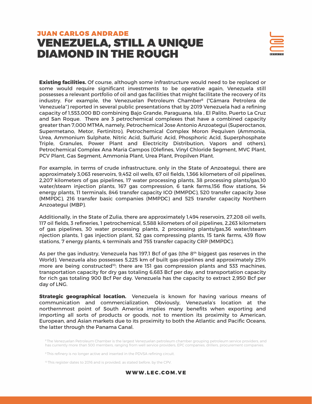

**Existing facilities.** Of course, although some infrastructure would need to be replaced or some would require significant investments to be operative again, Venezuela still possesses a relevant portfolio of oil and gas facilities that might facilitate the recovery of its industry. For example, the Venezuelan Petroleum Chamber<sup>8</sup> ("Cámara Petrolera de Venezuela") reported in several public presentations that by 2019 Venezuela had a refining capacity of 1,553,000 BD combining Bajo Grande, Paraguana, Isla , El Palito, Puerto La Cruz and San Roque. There are 3 petrochemical complexes that have a combined capacity greater than 7,000 MTMA, namely, Petrochemical Jose Antonio Anzoategui (Superoctanos, Supermetano, Metor, Fertinitro), Petrochemical Complex Moron Pequiven (Ammonia, Urea, Ammonium Sulphate, Nitric Acid, Sulfuric Acid, Phosphoric Acid, Superphosphate Triple, Granules, Power Plant and Electricity Distribution, Vapors and others), Petrochemical Complex Ana Maria Campos (Olefines, Vinyl Chloride Segment, MVC Plant, PCV Plant, Gas Segment, Ammonia Plant, Urea Plant, Propilven Plant.

For example, in terms of crude infrastructure, only in the State of Anzoategui, there are approximately 3,063 reservoirs, 9,452 oil wells, 67 oil fields, 1,366 kilometers of oil pipelines, 2,207 kilometers of gas pipelines, 17 water processing plants, 38 processing plants/gas,10 water/steam injection plants, 167 gas compression, 6 tank farms,156 flow stations, 54 energy plants, 11 terminals, 846 transfer capacity ICO (MMPDC), 520 transfer capacity Jose (MMPDC), 216 transfer basic companies (MMPDC) and 525 transfer capacity Northern Anzoategui (MBP).

Additionally, in the State of Zulia, there are approximately 1,494 reservoirs, 27,208 oil wells, 117 oil fields, 3 refineries, 1 petrochemical, 5,588 kilometers of oil pipelines, 2,263 kilometers of gas pipelines, 30 water processing plants, 2 processing plants/gas,36 water/steam njection plants, 1 gas injection plant, 52 gas compressing plants, 15 tank farms, 439 flow stations, 7 energy plants, 4 terminals and 755 transfer capacity CRP (MMPDC).

As per the gas industry, Venezuela has 197,1 Bcf of gas (the 8<sup>th</sup> biggest gas reserves in the World). Venezuela also possesses 5,225 km of built gas-pipelines and approximately 25% more are being constructed<sup>10</sup>; there are 151 gas compression plants and 533 machines, transportation capacity for dry gas totaling 6,683 Bcf per day, and transportation capacity for rich gas totaling 900 Bcf Per day. Venezuela has the capacity to extract 2,950 Bcf per day of LNG.

**Strategic geographical location.** Venezuela is known for having various means of communication and commercialization. Obviously, Venezuela's location at the northernmost point of South America implies many benefits when exporting and importing all sorts of products or goods, not to mention its proximity to American, European, and Asian markets due to its proximity to both the Atlantic and Pacific Oceans, the latter through the Panama Canal.

<sup>8</sup> The Venezuelan Petroleum Chamber is the largest Venezuelan petroleum chamber grouping petroleum service providers, and has currently more than 500 members, ranging from well service providers, EPC companies, drillers, procurement companies.

<sup>9</sup> This refinery is no longer active and inserted in the PDVSA refining circuit.

<sup>10</sup> This register dates to 2016 and is provided, as stated before, by the CPV.

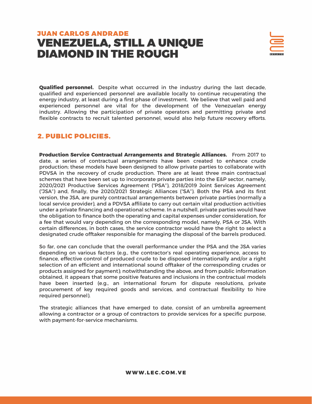

**Qualified personnel.** Despite what occurred in the industry during the last decade, qualified and experienced personnel are available locally to continue recuperating the energy industry, at least during a first phase of investment. We believe that well paid and experienced personnel are vital for the development of the Venezuelan energy industry. Allowing the participation of private operators and permitting private and flexible contracts to recruit talented personnel, would also help future recovery efforts.

#### 2. PUBLIC POLICIES.

**Production Service Contractual Arrangements and Strategic Alliances.** From 2017 to date, a series of contractual arrangements have been created to enhance crude production; these models have been designed to allow private parties to collaborate with PDVSA in the recovery of crude production. There are at least three main contractual schemes that have been set up to incorporate private parties into the E&P sector, namely, 2020/2021 Productive Services Agreement ("PSA"), 2018/2019 Joint Services Agreement ("JSA") and, finally, the 2020/2021 Strategic Alliances ("SA"). Both the PSA and its first version, the JSA, are purely contractual arrangements between private parties (normally a local service provider), and a PDVSA affiliate to carry out certain vital production activities under a private financing and operational scheme. In a nutshell, private parties would have the obligation to finance both the operating and capital expenses under consideration, for a fee that would vary depending on the corresponding model, namely, PSA or JSA. With certain differences, in both cases, the service contractor would have the right to select a designated crude offtaker responsible for managing the disposal of the barrels produced.

So far, one can conclude that the overall performance under the PSA and the JSA varies depending on various factors (e.g., the contractor's real operating experience, access to finance, effective control of produced crude to be disposed internationally and/or a right selection of an efficient and international sound offtaker of the corresponding crudes or products assigned for payment); notwithstanding the above, and from public information obtained, it appears that some positive features and inclusions in the contractual models have been inserted (e.g., an international forum for dispute resolutions, private procurement of key required goods and services, and contractual flexibility to hire required personnel).

The strategic alliances that have emerged to date, consist of an umbrella agreement allowing a contractor or a group of contractors to provide services for a specific purpose, with payment-for-service mechanisms.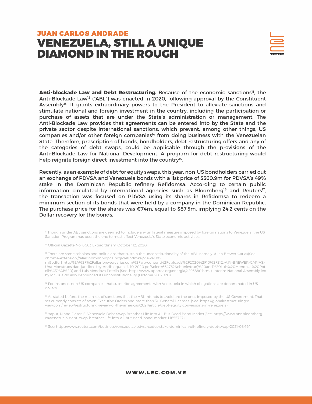

Anti-blockade Law and Debt Restructuring. Because of the economic sanctions<sup>11</sup>, the Anti-Blockade Law<sup>12</sup> ("ABL") was enacted in 2020, following approval by the Constituent Assembly<sup>13</sup>. It grants extraordinary powers to the President to alleviate sanctions and stimulate national and foreign investment in the country, including the participation or purchase of assets that are under the State's administration or management. The Anti-Blockade Law provides that agreements can be entered into by the State and the private sector despite international sanctions, which prevent, among other things, US companies and/or other foreign companies<sup>14</sup> from doing business with the Venezuelan State. Therefore, prescription of bonds, bondholders, debt restructuring offers and any of the categories of debt swaps, could be applicable through the provisions of the Anti-Blockade Law for National Development. A program for debt restructuring would help reignite foreign direct investment into the country<sup>15</sup>.

Recently, as an example of debt for equity swaps, this year, non-US bondholders carried out an exchange of PDVSA and Venezuela bonds with a list price of \$360.9m for PDVSA's 49% stake in the Dominican Republic refinery Refidomsa. According to certain public information circulated by international agencies such as Bloomberg<sup>16</sup> and Reuters<sup>17</sup>, the transaction was focused on PDVSA using its shares in Refidomsa to redeem a minimum section of its bonds that were held by a company in the Dominican Republic. The purchase price for the shares was €74m, equal to \$87.5m, implying 24.2 cents on the Dollar recovery for the bonds.

11 Though under ABL sanctions are deemed to include any unilateral measure imposed by foreign nations to Venezuela, the US Sanction Program has been the one to most affect Venezuela's State economic activities.

<sup>12</sup> Official Gazette No. 6,583 Extraordinary, October 12, 2020.

<sup>13</sup> There are some scholars and politicians that sustain the unconstitutionality of the ABL, namely: Allan Brewer-Carias(See: chrome-extension://efaidnbmnnnibpcajpcglclefindmkaj/viewer.ht-

ml?pdfurl=http%3A%2F%2Fallanbrewercarias.com%2Fwp-content%2Fuploads%2F2020%2F10%2F212.-A.R.-BREWER-CARIAS.- Una-Monstruosidad-juridica.-Ley-Antibloqueo.-4-10-2020.pdf&clen=664762&chunk=true)%20and%20Luis%20Mendoza%20Pot ell%C3%A1%20) and Luis Mendoza Potellá (See: https://www.aporrea.org/energia/a295880.html). Interim National Assembly led by Mr. Guaido also denounced its unconstitutionality (October 20, 2020).

<sup>14</sup> For Instance, non-US companies that subscribe agreements with Venezuela in which obligations are denominated in US dollars.

<sup>15</sup> As stated before, the main set of sanctions that the ABL intends to avoid are the ones imposed by the US Government. That set currently consists of seven Executive Orders and more than 30 General Licenses. (See: https://globalrestructuringreview.com/review/restructuring-review-of-the-americas/2021/article/debt-equity-conversions-in-venezuela).

16 Yapur, N and Fieser, E. Venezuela Debt Swap Breathes Life Into All-But-Dead Bond Market(See: https://www.bnnbloomberg. ca/venezuela-debt-swap-breathes-life-into-all-but-dead-bond-market-1.1655727).

17 See: https://www.reuters.com/business/venezuelas-pdvsa-cedes-stake-dominican-oil-refinery-debt-swap-2021-08-19/.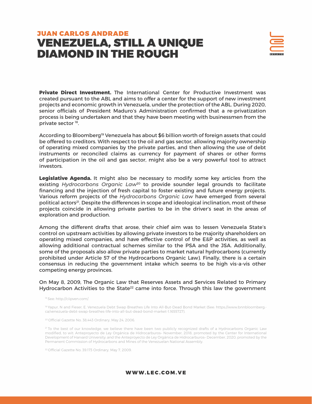

**Private Direct Investment.** The International Center for Productive Investment was created pursuant to the ABL and aims to offer a center for the support of new investment projects and economic growth in Venezuela, under the protection of the ABL. During 2020, senior officials of President Maduro's Administration confirmed that a re-privatization process is being undertaken and that they have been meeting with businessmen from the private sector 18.

According to Bloomberg<sup>19</sup> Venezuela has about \$6 billion worth of foreign assets that could be offered to creditors. With respect to the oil and gas sector, allowing majority ownership of operating mixed companies by the private parties, and then allowing the use of debt instruments or reconciled claims as currency for payment of shares or other forms of participation in the oil and gas sector, might also be a very powerful tool to attract investors.

**Legislative Agenda.** It might also be necessary to modify some key articles from the existing *Hydrocarbons Organic Law<sup>20</sup>* to provide sounder legal grounds to facilitate financing and the injection of fresh capital to foster existing and future energy projects. Various reform projects of the *Hydrocarbons Organic Law* have emerged from several political actors<sup>21</sup>. Despite the differences in scope and ideological inclination, most of these projects coincide in allowing private parties to be in the driver's seat in the areas of exploration and production.

Among the different drafts that arose, their chief aim was to lessen Venezuela State's control on upstream activities by allowing private investors to be majority shareholders on operating mixed companies, and have effective control of the E&P activities, as well as allowing additional contractual schemes similar to the PSA and the JSA. Additionally, some of the proposals also allow private parties to market natural hydrocarbons (currently prohibited under Article 57 of the Hydrocarbons Organic Law). Finally, there is a certain consensus in reducing the government intake which seems to be high vis-a-vis other competing energy provinces.

On May 8, 2009, The Organic Law that Reserves Assets and Services Related to Primary Hydrocarbon Activities to the State<sup>22</sup> came into force. Through this law the government

18 See: http://ciipven.com/.

19 Yapur, N and Fieser, E. Venezuela Debt Swap Breathes Life Into All-But-Dead Bond Market (See: https://www.bnnbloomberg. ca/venezuela-debt-swap-breathes-life-into-all-but-dead-bond-market-1.1655727).

20 Official Gazette No. 38,443 Ordinary, May 24, 2006.

<sup>21</sup> To the best of our knowledge, we believe there have been two publicly recognized drafts of a Hydrocarbons Organic Law modified, to wit: Anteproyecto de Ley Orgánica de Hidrocarburos– November, 2018, promoted by the Center for International Development of Harvard University; and the Anteproyecto de Ley Orgánica de Hidrocarburos– December, 2020, promoted by the Permanent Commission of Hydrocarbons and Mines of the Venezuelan National Assembly.

22 Official Gazette No. 39.173 Ordinary, May 7, 2009.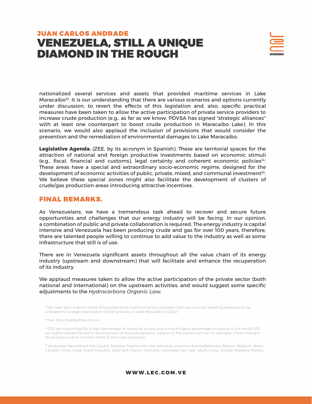

nationalized several services and assets that provided maritime services in Lake Maracaibo<sup>23</sup>. It is our understanding that there are various scenarios and options currently under discussion, to revert the effects of this legislation and, also, specific practical measures have been taken to allow the active participation of private service providers to increase crude production (e.g., as far as we know, PDVSA has signed "strategic alliances'' with at least one counterpart to boost crude production in Maracaibo Lake). In this scenario, we would also applaud the inclusion of provisions that would consider the prevention and the remediation of environmental damages to Lake Maracaibo.

**Legislative Agenda.** (ZEE, by its acronym in Spanish). These are territorial spaces for the attraction of national and foreign productive investments based on economic stimuli (e.g., fiscal, financial and customs), legal certainty and coherent economic policies24. These areas have a special and extraordinary socio-economic regime, designed for the development of economic activities of public, private, mixed, and communal investment<sup>25</sup>. We believe these special zones might also facilitate the development of clusters of crude/gas production areas introducing attractive incentives.

#### FINAL REMARKS.

As Venezuelans, we have a tremendous task ahead to recover and secure future opportunities and challenges that our energy industry will be facing. In our opinion, a combination of public and private collaboration is required. The energy industry is capital intensive and Venezuela has been producing crude and gas for over 100 years, therefore, there are talented people willing to continue to add value to the industry as well as some infrastructure that still is of use.

There are in Venezuela significant assets throughout all the value chain of its energy industry (upstream and downstream) that will facilitate and enhance the recuperation of its industry.

We applaud measures taken to allow the active participation of the private sector (both national and international) on the upstream activities, and would suggest some specific adjustments to the *Hydrocarbons Organic Law.*

<sup>23</sup> We have seen a recent trend of seasoned local maritime service providers that are currently investing resources to be prepared for a larger reactivation of E&P activities in Lake Maracaibo in 2022.

24 See: http://zeeftachira.com.ve.

<sup>25</sup> ZEE are responsible for a high percentage of industrial activity and a much higher percentage of exports in the world. ZEE are highly relevant factors in development of the most dynamic nations on the planet, such as, for example, China, Vietnam, South Korea, just to mention three of the most important.

26 Venezuela has entered into Double Taxation Treaties with the following countries: Austria Barbados, Belarus, Belgium, Brazil, Canada, China, Cuba, Czech Republic, Denmark, France, Germany, Indonesia, Iran, Italy, South Korea, Kuwait, Malaysia, Mexico,